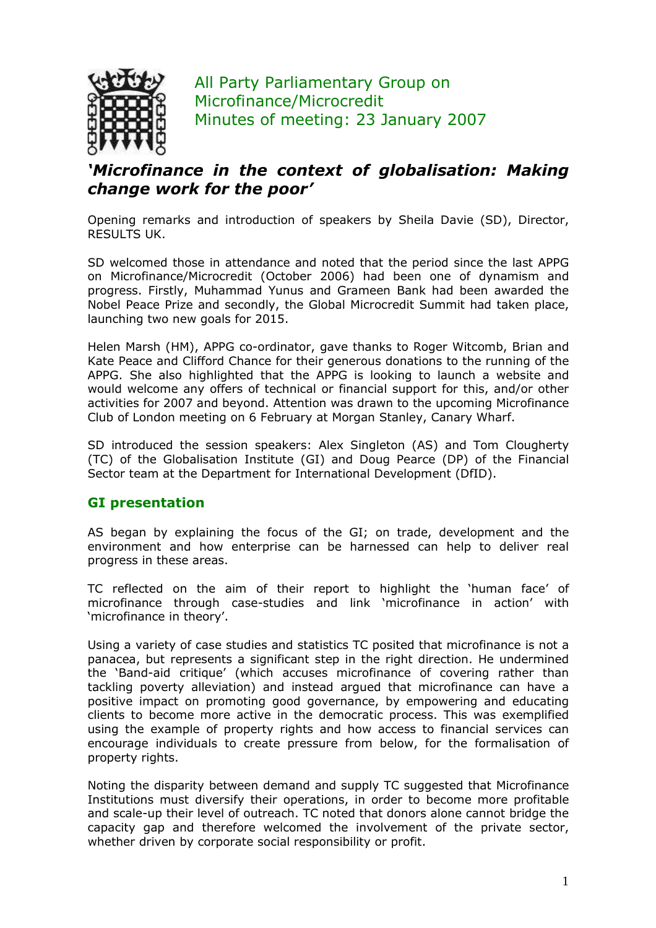

All Party Parliamentary Group on Microfinance/Microcredit Minutes of meeting: 23 January 2007

## 'Microfinance in the context of globalisation: Making change work for the poor'

Opening remarks and introduction of speakers by Sheila Davie (SD), Director, RESULTS UK.

SD welcomed those in attendance and noted that the period since the last APPG on Microfinance/Microcredit (October 2006) had been one of dynamism and progress. Firstly, Muhammad Yunus and Grameen Bank had been awarded the Nobel Peace Prize and secondly, the Global Microcredit Summit had taken place, launching two new goals for 2015.

Helen Marsh (HM), APPG co-ordinator, gave thanks to Roger Witcomb, Brian and Kate Peace and Clifford Chance for their generous donations to the running of the APPG. She also highlighted that the APPG is looking to launch a website and would welcome any offers of technical or financial support for this, and/or other activities for 2007 and beyond. Attention was drawn to the upcoming Microfinance Club of London meeting on 6 February at Morgan Stanley, Canary Wharf.

SD introduced the session speakers: Alex Singleton (AS) and Tom Clougherty (TC) of the Globalisation Institute (GI) and Doug Pearce (DP) of the Financial Sector team at the Department for International Development (DfID).

## GI presentation

AS began by explaining the focus of the GI; on trade, development and the environment and how enterprise can be harnessed can help to deliver real progress in these areas.

TC reflected on the aim of their report to highlight the 'human face' of microfinance through case-studies and link 'microfinance in action' with 'microfinance in theory'.

Using a variety of case studies and statistics TC posited that microfinance is not a panacea, but represents a significant step in the right direction. He undermined the 'Band-aid critique' (which accuses microfinance of covering rather than tackling poverty alleviation) and instead argued that microfinance can have a positive impact on promoting good governance, by empowering and educating clients to become more active in the democratic process. This was exemplified using the example of property rights and how access to financial services can encourage individuals to create pressure from below, for the formalisation of property rights.

Noting the disparity between demand and supply TC suggested that Microfinance Institutions must diversify their operations, in order to become more profitable and scale-up their level of outreach. TC noted that donors alone cannot bridge the capacity gap and therefore welcomed the involvement of the private sector, whether driven by corporate social responsibility or profit.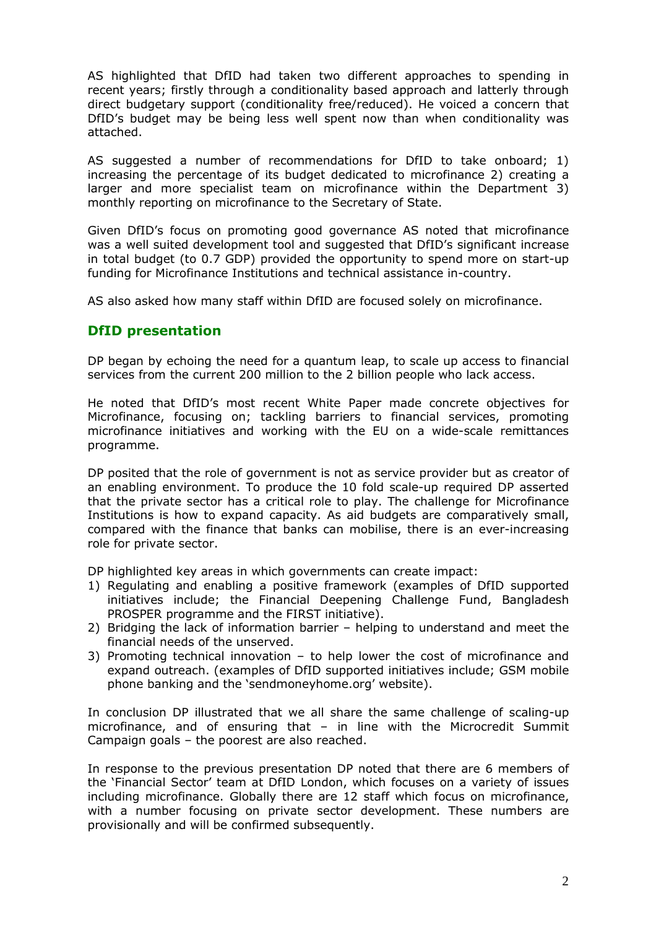AS highlighted that DfID had taken two different approaches to spending in recent years; firstly through a conditionality based approach and latterly through direct budgetary support (conditionality free/reduced). He voiced a concern that DfID's budget may be being less well spent now than when conditionality was attached.

AS suggested a number of recommendations for DfID to take onboard; 1) increasing the percentage of its budget dedicated to microfinance 2) creating a larger and more specialist team on microfinance within the Department 3) monthly reporting on microfinance to the Secretary of State.

Given DfID's focus on promoting good governance AS noted that microfinance was a well suited development tool and suggested that DfID's significant increase in total budget (to 0.7 GDP) provided the opportunity to spend more on start-up funding for Microfinance Institutions and technical assistance in-country.

AS also asked how many staff within DfID are focused solely on microfinance.

## DfID presentation

DP began by echoing the need for a quantum leap, to scale up access to financial services from the current 200 million to the 2 billion people who lack access.

He noted that DfID's most recent White Paper made concrete objectives for Microfinance, focusing on; tackling barriers to financial services, promoting microfinance initiatives and working with the EU on a wide-scale remittances programme.

DP posited that the role of government is not as service provider but as creator of an enabling environment. To produce the 10 fold scale-up required DP asserted that the private sector has a critical role to play. The challenge for Microfinance Institutions is how to expand capacity. As aid budgets are comparatively small, compared with the finance that banks can mobilise, there is an ever-increasing role for private sector.

DP highlighted key areas in which governments can create impact:

- 1) Regulating and enabling a positive framework (examples of DfID supported initiatives include; the Financial Deepening Challenge Fund, Bangladesh PROSPER programme and the FIRST initiative).
- 2) Bridging the lack of information barrier helping to understand and meet the financial needs of the unserved.
- 3) Promoting technical innovation to help lower the cost of microfinance and expand outreach. (examples of DfID supported initiatives include; GSM mobile phone banking and the 'sendmoneyhome.org' website).

In conclusion DP illustrated that we all share the same challenge of scaling-up microfinance, and of ensuring that – in line with the Microcredit Summit Campaign goals – the poorest are also reached.

In response to the previous presentation DP noted that there are 6 members of the 'Financial Sector' team at DfID London, which focuses on a variety of issues including microfinance. Globally there are 12 staff which focus on microfinance, with a number focusing on private sector development. These numbers are provisionally and will be confirmed subsequently.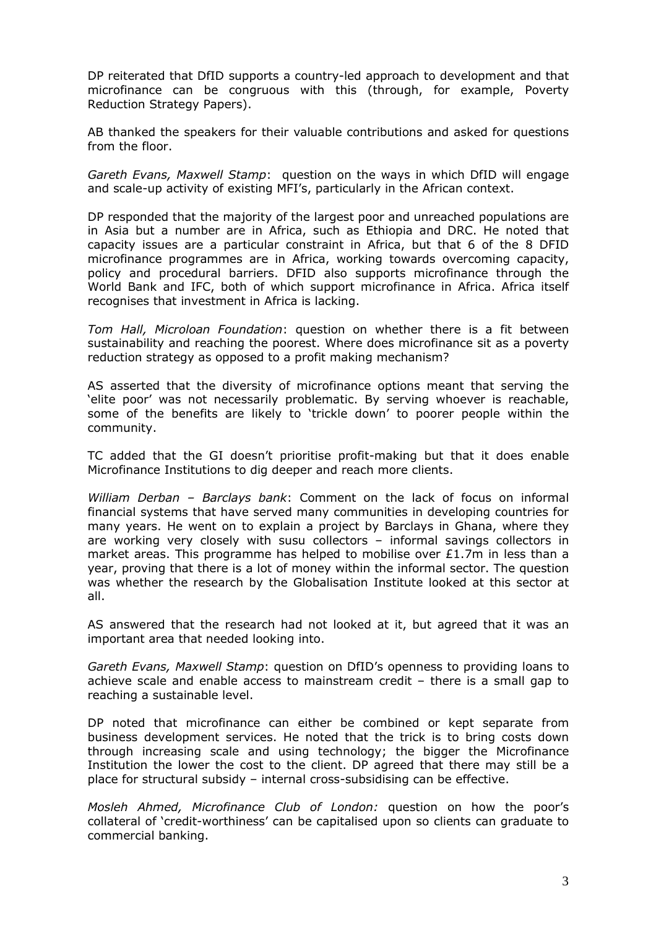DP reiterated that DfID supports a country-led approach to development and that microfinance can be congruous with this (through, for example, Poverty Reduction Strategy Papers).

AB thanked the speakers for their valuable contributions and asked for questions from the floor.

Gareth Evans, Maxwell Stamp: question on the ways in which DfID will engage and scale-up activity of existing MFI's, particularly in the African context.

DP responded that the majority of the largest poor and unreached populations are in Asia but a number are in Africa, such as Ethiopia and DRC. He noted that capacity issues are a particular constraint in Africa, but that 6 of the 8 DFID microfinance programmes are in Africa, working towards overcoming capacity, policy and procedural barriers. DFID also supports microfinance through the World Bank and IFC, both of which support microfinance in Africa. Africa itself recognises that investment in Africa is lacking.

Tom Hall, Microloan Foundation: question on whether there is a fit between sustainability and reaching the poorest. Where does microfinance sit as a poverty reduction strategy as opposed to a profit making mechanism?

AS asserted that the diversity of microfinance options meant that serving the 'elite poor' was not necessarily problematic. By serving whoever is reachable, some of the benefits are likely to 'trickle down' to poorer people within the community.

TC added that the GI doesn't prioritise profit-making but that it does enable Microfinance Institutions to dig deeper and reach more clients.

William Derban - Barclays bank: Comment on the lack of focus on informal financial systems that have served many communities in developing countries for many years. He went on to explain a project by Barclays in Ghana, where they are working very closely with susu collectors – informal savings collectors in market areas. This programme has helped to mobilise over  $£1.7m$  in less than a year, proving that there is a lot of money within the informal sector. The question was whether the research by the Globalisation Institute looked at this sector at all.

AS answered that the research had not looked at it, but agreed that it was an important area that needed looking into.

Gareth Evans, Maxwell Stamp: question on DfID's openness to providing loans to achieve scale and enable access to mainstream credit – there is a small gap to reaching a sustainable level.

DP noted that microfinance can either be combined or kept separate from business development services. He noted that the trick is to bring costs down through increasing scale and using technology; the bigger the Microfinance Institution the lower the cost to the client. DP agreed that there may still be a place for structural subsidy – internal cross-subsidising can be effective.

Mosleh Ahmed, Microfinance Club of London: question on how the poor's collateral of 'credit-worthiness' can be capitalised upon so clients can graduate to commercial banking.